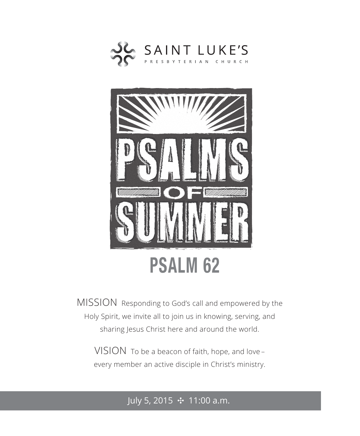



MISSION Responding to God's call and empowered by the Holy Spirit, we invite all to join us in knowing, serving, and sharing Jesus Christ here and around the world.

VISION To be a beacon of faith, hope, and love – every member an active disciple in Christ's ministry.

July 5, 2015  $\div$  11:00 a.m.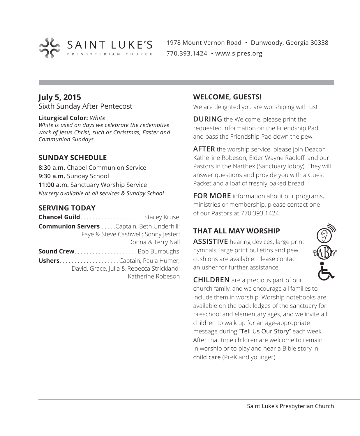

1978 Mount Vernon Road • Dunwoody, Georgia 30338 770.393.1424 • www.slpres.org

## **July 5, 2015**

Sixth Sunday After Pentecost

#### **Liturgical Color:** *White*

*White is used on days we celebrate the redemptive work of Jesus Christ, such as Christmas, Easter and Communion Sundays.* 

## **SUNDAY SCHEDULE**

**8:30 a.m.** Chapel Communion Service **9:30 a.m.** Sunday School **11:00 a.m.** Sanctuary Worship Service *Nursery available at all services & Sunday School*

## **SERVING TODAY**

| <b>Chancel Guild</b> Stacey Kruse                 |                                           |
|---------------------------------------------------|-------------------------------------------|
| <b>Communion Servers</b> Captain, Beth Underhill; |                                           |
|                                                   | Faye & Steve Cashwell; Sonny Jester;      |
|                                                   | Donna & Terry Nall                        |
| <b>Sound CrewBob Burroughs</b>                    |                                           |
|                                                   |                                           |
|                                                   | David, Grace, Julia & Rebecca Strickland; |
|                                                   | Katherine Robeson                         |

#### **WELCOME, GUESTS!**

We are delighted you are worshiping with us!

**DURING** the Welcome, please print the requested information on the Friendship Pad and pass the Friendship Pad down the pew.

**AFTER** the worship service, please join Deacon Katherine Robeson, Elder Wayne Radloff, and our Pastors in the Narthex (Sanctuary lobby). They will answer questions and provide you with a Guest Packet and a loaf of freshly-baked bread.

**FOR MORE** information about our programs, ministries or membership, please contact one of our Pastors at 770.393.1424.

## **THAT ALL MAY WORSHIP**

**ASSISTIVE** hearing devices, large print hymnals, large print bulletins and pew cushions are available. Please contact an usher for further assistance.



**CHILDREN** are a precious part of our church family, and we encourage all families to include them in worship. Worship notebooks are available on the back ledges of the sanctuary for preschool and elementary ages, and we invite all children to walk up for an age-appropriate message during "Tell Us Our Story" each week. After that time children are welcome to remain in worship or to play and hear a Bible story in child care (PreK and younger).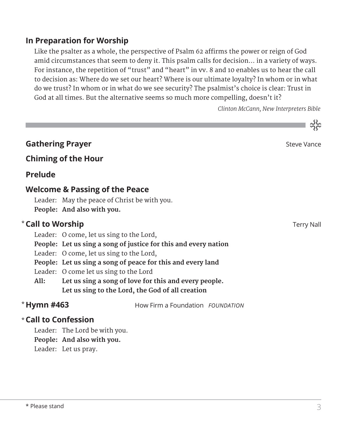## **In Preparation for Worship**

Like the psalter as a whole, the perspective of Psalm 62 affirms the power or reign of God amid circumstances that seem to deny it. This psalm calls for decision… in a variety of ways. For instance, the repetition of "trust" and "heart" in vv. 8 and 10 enables us to hear the call to decision as: Where do we set our heart? Where is our ultimate loyalty? In whom or in what do we trust? In whom or in what do we see security? The psalmist's choice is clear: Trust in God at all times. But the alternative seems so much more compelling, doesn't it?

 *Clinton McCann, New Interpreters Bible*

ನ್ನು

|                            |                                                                                                                         |                                                             | CS.         |
|----------------------------|-------------------------------------------------------------------------------------------------------------------------|-------------------------------------------------------------|-------------|
| <b>Gathering Prayer</b>    |                                                                                                                         |                                                             | Steve Vance |
|                            | <b>Chiming of the Hour</b>                                                                                              |                                                             |             |
| <b>Prelude</b>             |                                                                                                                         |                                                             |             |
|                            | <b>Welcome &amp; Passing of the Peace</b><br>Leader: May the peace of Christ be with you.<br>People: And also with you. |                                                             |             |
| <b>*Call to Worship</b>    |                                                                                                                         |                                                             | Terry Nall  |
|                            | Leader: O come, let us sing to the Lord,                                                                                |                                                             |             |
|                            | People: Let us sing a song of justice for this and every nation                                                         |                                                             |             |
|                            | Leader: O come, let us sing to the Lord,                                                                                |                                                             |             |
|                            |                                                                                                                         | People: Let us sing a song of peace for this and every land |             |
|                            | Leader: O come let us sing to the Lord                                                                                  |                                                             |             |
| All:                       |                                                                                                                         | Let us sing a song of love for this and every people.       |             |
|                            |                                                                                                                         | Let us sing to the Lord, the God of all creation            |             |
| * Hymn #463                |                                                                                                                         | How Firm a Foundation FOUNDATION                            |             |
| $\star$ Call to Confession |                                                                                                                         |                                                             |             |
|                            | Leader: The Lord be with you.                                                                                           |                                                             |             |
|                            | People: And also with you.                                                                                              |                                                             |             |
|                            | Leader: Let us pray.                                                                                                    |                                                             |             |
|                            |                                                                                                                         |                                                             |             |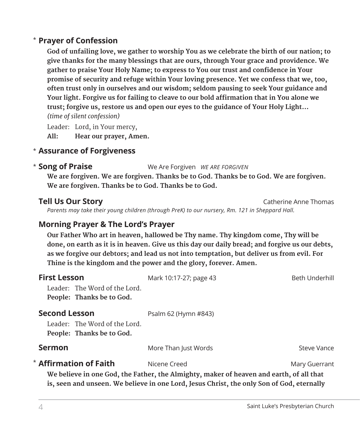## **Prayer of Confession**  \*

 **God of unfailing love, we gather to worship You as we celebrate the birth of our nation; to give thanks for the many blessings that are ours, through Your grace and providence. We gather to praise Your Holy Name; to express to You our trust and confidence in Your promise of security and refuge within Your loving presence. Yet we confess that we, too, often trust only in ourselves and our wisdom; seldom pausing to seek Your guidance and Your light. Forgive us for failing to cleave to our bold affirmation that in You alone we trust; forgive us, restore us and open our eyes to the guidance of Your Holy Light…**  *(time of silent confession)*

Leader: Lord, in Your mercy, **All: Hear our prayer, Amen.**

## **Assurance of Forgiveness** \*

#### **Song of Praise** We Are Forgiven *WE ARE FORGIVEN* \* Song of Praise

 **We are forgiven. We are forgiven. Thanks be to God. Thanks be to God. We are forgiven. We are forgiven. Thanks be to God. Thanks be to God.**

**Tell Us Our Story** Catherine Anne Thomas  *Parents may take their young children (through PreK) to our nursery, Rm. 121 in Sheppard Hall.* 

## **Morning Prayer & The Lord's Prayer**

 **Our Father Who art in heaven, hallowed be Thy name. Thy kingdom come, Thy will be done, on earth as it is in heaven. Give us this day our daily bread; and forgive us our debts, as we forgive our debtors; and lead us not into temptation, but deliver us from evil. For Thine is the kingdom and the power and the glory, forever. Amen.**

| <b>First Lesson</b>                                                                       | Mark 10:17-27; page 43 | Beth Underhill |
|-------------------------------------------------------------------------------------------|------------------------|----------------|
| Leader: The Word of the Lord.                                                             |                        |                |
| People: Thanks be to God.                                                                 |                        |                |
| <b>Second Lesson</b>                                                                      | Psalm 62 (Hymn #843)   |                |
| Leader: The Word of the Lord.                                                             |                        |                |
| People: Thanks be to God.                                                                 |                        |                |
| <b>Sermon</b>                                                                             | More Than Just Words   | Steve Vance    |
| <b>Affirmation of Faith</b>                                                               | Nicene Creed           | Mary Guerrant  |
| We believe in one God, the Father, the Almighty, maker of heaven and earth, of all that   |                        |                |
| is, seen and unseen. We believe in one Lord, Jesus Christ, the only Son of God, eternally |                        |                |

\*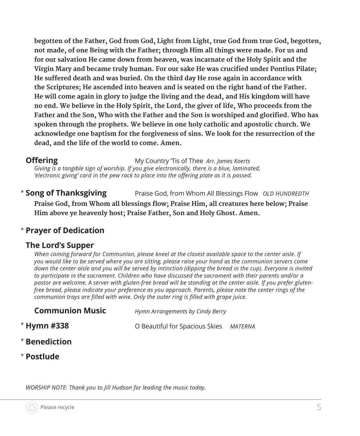**begotten of the Father, God from God, Light from Light, true God from true God, begotten, not made, of one Being with the Father; through Him all things were made. For us and for our salvation He came down from heaven, was incarnate of the Holy Spirit and the Virgin Mary and became truly human. For our sake He was crucified under Pontius Pilate; He suffered death and was buried. On the third day He rose again in accordance with the Scriptures; He ascended into heaven and is seated on the right hand of the Father. He will come again in glory to judge the living and the dead, and His kingdom will have no end. We believe in the Holy Spirit, the Lord, the giver of life, Who proceeds from the Father and the Son, Who with the Father and the Son is worshiped and glorified. Who has spoken through the prophets. We believe in one holy catholic and apostolic church. We acknowledge one baptism for the forgiveness of sins. We look for the resurrection of the dead, and the life of the world to come. Amen.**

**Offering** My Country Tis of Thee *Arr. James Koerts* 

 *Giving is a tangible sign of worship. If you give electronically, there is a blue, laminated, 'electronic giving' card in the pew rack to place into the offering plate as it is passed.* 

\* Song of Thanksgiving **Song of Thanksgiving** Praise God, from Whom All Blessings Flow *OLD HUNDREDTH* **Praise God, from Whom all blessings flow; Praise Him, all creatures here below; Praise Him above ye heavenly host; Praise Father, Son and Holy Ghost. Amen.**

# \* **Prayer of Dedication**

## **The Lord's Supper**

 *When coming forward for Communion, please kneel at the closest available space to the center aisle. If you would like to be served where you are sitting, please raise your hand as the communion servers come*  down the center aisle and you will be served by intinction (dipping the bread in the cup). Everyone is invited *to participate in the sacrament. Children who have discussed the sacrament with their parents and/or a pastor are welcome. A server with gluten-free bread will be standing at the center aisle. If you prefer glutenfree bread, please indicate your preference as you approach. Parents, please note the center rings of the communion trays are filled with wine. Only the outer ring is filled with grape juice.*

| <b>Communion Music</b> | Hymn Arrangements by Cindy Berry |         |
|------------------------|----------------------------------|---------|
| <b>Hymn #338</b>       | O Beautiful for Spacious Skies   | MATERNA |
|                        |                                  |         |

- \* **Benediction**
- \* **Postlude**

\*

*WORSHIP NOTE: Thank you to Jill Hudson for leading the music today.*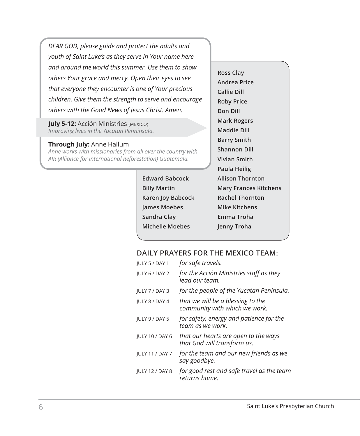*DEAR GOD, please guide and protect the adults and youth of Saint Luke's as they serve in Your name here and around the world this summer. Use them to show others Your grace and mercy. Open their eyes to see that everyone they encounter is one of Your precious children. Give them the strength to serve and encourage others with the Good News of Jesus Christ. Amen.*

**July 5-12: Acción Ministries (MEXICO)** *Improving lives in the Yucatan Penninsula.*

#### **Through July:** Anne Hallum

*Anne works with missionaries from all over the country with AIR (Alliance for International Reforestation) Guatemala.*

> **Edward Babcock Billy Martin Karen Joy Babcock James Moebes Sandra Clay Michelle Moebes**

**Ross Clay Andrea Price Callie Dill Roby Price Don Dill Mark Rogers Maddie Dill Barry Smith Shannon Dill Vivian Smith Paula Heilig Allison Thornton Mary Frances Kitchens Rachel Thornton Mike Kitchens Emma Troha Jenny Troha**

### **DAILY PRAYERS FOR THE MEXICO TEAM:**

| <b>IULY 5 / DAY 1</b>  | for safe travels.                                                   |
|------------------------|---------------------------------------------------------------------|
| JULY 6 / DAY 2         | for the Acción Ministries staff as they<br>lead our team.           |
| JULY 7 / DAY 3         | for the people of the Yucatan Peninsula.                            |
| <b>IULY 8 / DAY 4</b>  | that we will be a blessing to the<br>community with which we work.  |
| <b>IULY 9 / DAY 5</b>  | for safety, energy and patience for the<br>team as we work.         |
| <b>JULY 10 / DAY 6</b> | that our hearts are open to the ways<br>that God will transform us. |
| <b>JULY 11 / DAY 7</b> | for the team and our new friends as we<br>say goodbye.              |
| <b>JULY 12 / DAY 8</b> | for good rest and safe travel as the team<br>returns home.          |
|                        |                                                                     |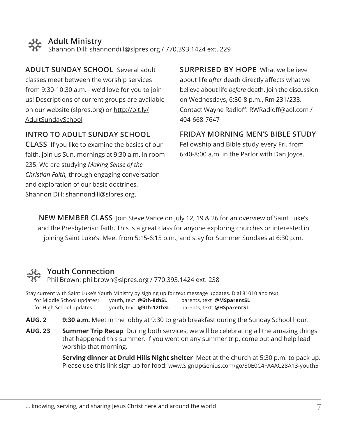**ADULT SUNDAY SCHOOL** Several adult classes meet between the worship services from 9:30-10:30 a.m. - we'd love for you to join us! Descriptions of current groups are available on our website (slpres.org) or http://bit.ly/ AdultSundaySchool

## **INTRO TO ADULT SUNDAY SCHOOL**

**CLASS** If you like to examine the basics of our faith, join us Sun. mornings at 9:30 a.m. in room 235. We are studying *Making Sense of the Christian Faith,* through engaging conversation and exploration of our basic doctrines. Shannon Dill: shannondill@slpres.org.

**SURPRISED BY HOPE** What we believe about life *after* death directly affects what we believe about life *before* death. Join the discussion on Wednesdays, 6:30-8 p.m., Rm 231/233. Contact Wayne Radloff: RWRadloff@aol.com / 404-668-7647

## **FRIDAY MORNING MEN'S BIBLE STUDY**

Fellowship and Bible study every Fri. from 6:40-8:00 a.m. in the Parlor with Dan Joyce.

**NEW MEMBER CLASS** Join Steve Vance on July 12, 19 & 26 for an overview of Saint Luke's and the Presbyterian faith. This is a great class for anyone exploring churches or interested in joining Saint Luke's. Meet from 5:15-6:15 p.m., and stay for Summer Sundaes at 6:30 p.m.

## **Youth Connection**

Phil Brown: philbrown@slpres.org / 770.393.1424 ext. 238

Stay current with Saint Luke's Youth Ministry by signing up for text message updates. Dial 81010 and text: for Middle School updates: youth, text **@6th-8thSL** parents, text **@MSparentSL** for High School updates: youth, text **@9th-12thSL** parents, text **@HSparentSL**

**AUG. 2 9:30 a.m.** Meet in the lobby at 9:30 to grab breakfast during the Sunday School hour.

**AUG. 23 Summer Trip Recap** During both services, we will be celebrating all the amazing things that happened this summer. If you went on any summer trip, come out and help lead worship that morning.

> **Serving dinner at Druid Hills Night shelter** Meet at the church at 5:30 p.m. to pack up. Please use this link sign up for food: www.SignUpGenius.com/go/30E0C4FA4AC28A13-youth5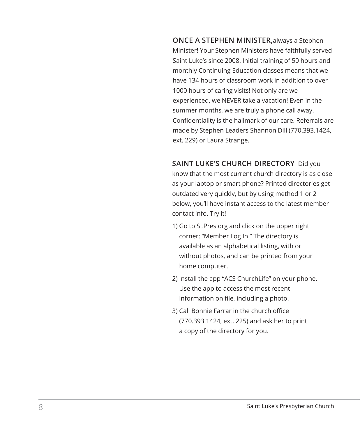**ONCE A STEPHEN MINISTER,**always a Stephen Minister! Your Stephen Ministers have faithfully served Saint Luke's since 2008. Initial training of 50 hours and monthly Continuing Education classes means that we have 134 hours of classroom work in addition to over 1000 hours of caring visits! Not only are we experienced, we NEVER take a vacation! Even in the summer months, we are truly a phone call away. Confidentiality is the hallmark of our care. Referrals are made by Stephen Leaders Shannon Dill (770.393.1424, ext. 229) or Laura Strange.

**SAINT LUKE'S CHURCH DIRECTORY** Did you

know that the most current church directory is as close as your laptop or smart phone? Printed directories get outdated very quickly, but by using method 1 or 2 below, you'll have instant access to the latest member contact info. Try it!

- 1) Go to SLPres.org and click on the upper right corner: "Member Log In." The directory is available as an alphabetical listing, with or without photos, and can be printed from your home computer.
- 2) Install the app "ACS ChurchLife" on your phone. Use the app to access the most recent information on file, including a photo.
- 3) Call Bonnie Farrar in the church office (770.393.1424, ext. 225) and ask her to print a copy of the directory for you.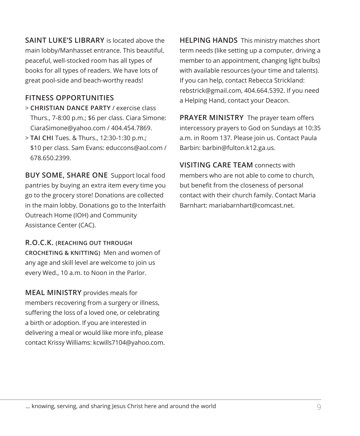**SAINT LUKE'S LIBRARY** is located above the main lobby/Manhasset entrance. This beautiful, peaceful, well-stocked room has all types of books for all types of readers. We have lots of great pool-side and beach-worthy reads!

## **FITNESS OPPORTUNITIES**

- > **CHRISTIAN DANCE PARTY** / exercise class Thurs., 7-8:00 p.m.; \$6 per class. Ciara Simone: CiaraSimone@yahoo.com / 404.454.7869.
- > **TAI CHI** Tues. & Thurs., 12:30-1:30 p.m.; \$10 per class. Sam Evans: educcons@aol.com / 678.650.2399.

**BUY SOME, SHARE ONE** Support local food pantries by buying an extra item every time you go to the grocery store! Donations are collected in the main lobby. Donations go to the Interfaith Outreach Home (IOH) and Community Assistance Center (CAC).

**R.O.C.K. (REACHING OUT THROUGH CROCHETING & KNITTING)** Men and women of any age and skill level are welcome to join us every Wed., 10 a.m. to Noon in the Parlor.

**MEAL MINISTRY** provides meals for members recovering from a surgery or illness, suffering the loss of a loved one, or celebrating a birth or adoption. If you are interested in delivering a meal or would like more info, please contact Krissy Williams: kcwills7104@yahoo.com.

**HELPING HANDS** This ministry matches short term needs (like setting up a computer, driving a member to an appointment, changing light bulbs) with available resources (your time and talents). If you can help, contact Rebecca Strickland: rebstrick@gmail.com, 404.664.5392. If you need a Helping Hand, contact your Deacon.

**PRAYER MINISTRY** The prayer team offers intercessory prayers to God on Sundays at 10:35 a.m. in Room 137. Please join us. Contact Paula Barbin: barbin@fulton.k12.ga.us.

**VISITING CARE TEAM** connects with members who are not able to come to church, but benefit from the closeness of personal contact with their church family. Contact Maria Barnhart: mariabarnhart@comcast.net.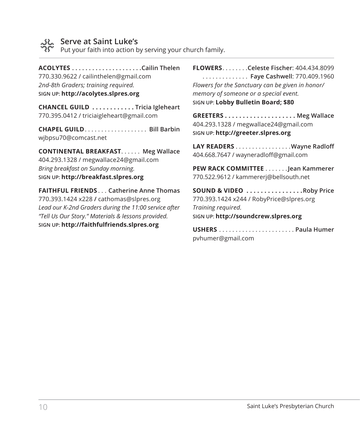

## **Serve at Saint Luke's**

Put your faith into action by serving your church family.

**ACOLYTES. Cailin Thelen** 770.330.9622 / cailinthelen@gmail.com *2nd-8th Graders; training required.* **SIGN UP: http://acolytes.slpres.org**

**CHANCEL GUILD. . Tricia Igleheart** 770.395.0412 / triciaigleheart@gmail.com

**CHAPEL GUILD.................. Bill Barbin** wjbpsu70@comcast.net

**CONTINENTAL BREAKFAST. . . . . . Meg Wallace** 404.293.1328 / megwallace24@gmail.com *Bring breakfast on Sunday morning.* **SIGN UP: http://breakfast.slpres.org**

**FAITHFUL FRIENDS**. . **Catherine Anne Thomas** 770.393.1424 x228 **/** cathomas@slpres.org *Lead our K-2nd Graders during the 11:00 service after "Tell Us Our Story." Materials & lessons provided.* **SIGN UP: http://faithfulfriends.slpres.org**

**FLOWERS**. **Celeste Fischer**: 404.434.8099 . . **Faye Cashwell**: 770.409.1960 *Flowers for the Sanctuary can be given in honor/ memory of someone or a special event.* **SIGN UP: Lobby Bulletin Board; \$80**

**GREETERS. . . Meg Wallace** 404.293.1328 / megwallace24@gmail.com **SIGN UP: http://greeter.slpres.org**

LAY READERS . . . . . . . . . . . . . . . . Wayne Radloff 404.668.7647 / wayneradloff@gmail.com

**PEW RACK COMMITTEE** . . . . . . . Jean Kammerer 770.522.9612 / kammererj@bellsouth.net

**SOUND & VIDEO** . . . . . . . . . . . . . . . Roby Price 770.393.1424 x244 / RobyPrice@slpres.org *Training required.* **SIGN UP: http://soundcrew.slpres.org**

**USHERS**. **Paula Humer** pvhumer@gmail.com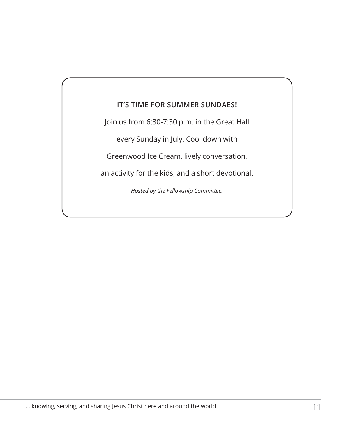## **IT'S TIME FOR SUMMER SUNDAES!**

Join us from 6:30-7:30 p.m. in the Great Hall

every Sunday in July. Cool down with

Greenwood Ice Cream, lively conversation,

an activity for the kids, and a short devotional.

*Hosted by the Fellowship Committee.*